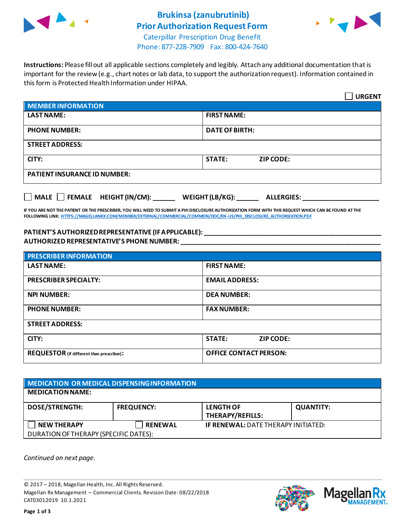

## **Brukinsa (zanubrutinib) Prior Authorization Request Form**



Caterpillar Prescription Drug Benefit Phone: 877-228-7909 Fax: 800-424-7640

**Instructions:** Please fill out all applicable sections completely and legibly. Attach any additional documentation that is important for the review (e.g., chart notes or lab data, to support the authorization request). Information contained in this form is Protected Health Information under HIPAA.

|                                                                                   | <b>URGENT</b>                     |  |  |  |
|-----------------------------------------------------------------------------------|-----------------------------------|--|--|--|
| <b>MEMBER INFORMATION</b>                                                         |                                   |  |  |  |
| <b>LAST NAME:</b>                                                                 | <b>FIRST NAME:</b>                |  |  |  |
| <b>PHONE NUMBER:</b>                                                              | <b>DATE OF BIRTH:</b>             |  |  |  |
| <b>STREET ADDRESS:</b>                                                            |                                   |  |  |  |
| CITY:                                                                             | <b>STATE:</b><br><b>ZIP CODE:</b> |  |  |  |
| <b>PATIENT INSURANCE ID NUMBER:</b>                                               |                                   |  |  |  |
| $\Box$ MALE $\Box$ FEMALE HEIGHT (IN/CM):<br>WEIGHT (LB/KG):<br><b>ALLERGIES:</b> |                                   |  |  |  |

**IF YOU ARE NOT THE PATIENT OR THE PRESCRIBER, YOU WILL NEED TO SUBMIT A PHI DISCLOSURE AUTHORIZATION FORM WITH THIS REQUEST WHICH CAN BE FOUND AT THE FOLLOWING LINK[: HTTPS://MAGELLANRX.COM/MEMBER/EXTERNAL/COMMERCIAL/COMMON/DOC/EN-US/PHI\\_DISCLOSURE\\_AUTHORIZATION.PDF](https://magellanrx.com/member/external/commercial/common/doc/en-us/PHI_Disclosure_Authorization.pdf)**

## **PATIENT'S AUTHORIZED REPRESENTATIVE (IF APPLICABLE): \_\_\_\_\_\_\_\_\_\_\_\_\_\_\_\_\_\_\_\_\_\_\_\_\_\_\_\_\_\_\_\_\_\_\_\_\_\_\_\_\_\_\_\_\_\_\_\_\_ AUTHORIZED REPRESENTATIVE'S PHONE NUMBER: \_\_\_\_\_\_\_\_\_\_\_\_\_\_\_\_\_\_\_\_\_\_\_\_\_\_\_\_\_\_\_\_\_\_\_\_\_\_\_\_\_\_\_\_\_\_\_\_\_\_\_\_\_\_\_**

| <b>PRESCRIBER INFORMATION</b>             |                               |  |
|-------------------------------------------|-------------------------------|--|
| <b>LAST NAME:</b>                         | <b>FIRST NAME:</b>            |  |
| <b>PRESCRIBER SPECIALTY:</b>              | <b>EMAIL ADDRESS:</b>         |  |
| <b>NPI NUMBER:</b>                        | <b>DEA NUMBER:</b>            |  |
| <b>PHONE NUMBER:</b>                      | <b>FAX NUMBER:</b>            |  |
| <b>STREET ADDRESS:</b>                    |                               |  |
| CITY:                                     | <b>STATE:</b><br>ZIP CODE:    |  |
| REQUESTOR (if different than prescriber): | <b>OFFICE CONTACT PERSON:</b> |  |

| MEDICATION OR MEDICAL DISPENSING INFORMATION |                   |                                            |                  |  |  |
|----------------------------------------------|-------------------|--------------------------------------------|------------------|--|--|
| <b>MEDICATION NAME:</b>                      |                   |                                            |                  |  |  |
| <b>DOSE/STRENGTH:</b>                        | <b>FREQUENCY:</b> | <b>LENGTH OF</b><br>THERAPY/REFILLS:       | <b>QUANTITY:</b> |  |  |
| <b>NEW THERAPY</b>                           | <b>RENEWAL</b>    | <b>IF RENEWAL: DATE THERAPY INITIATED:</b> |                  |  |  |
| DURATION OF THERAPY (SPECIFIC DATES):        |                   |                                            |                  |  |  |

*Continued on next page.*

© 2017 – 2018, Magellan Health, Inc. All Rights Reserved. Magellan Rx Management – Commercial Clients. Revision Date: 08/22/2018 CAT03012019 10.1.2021



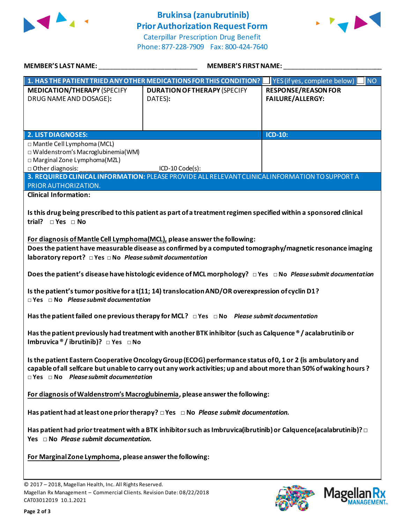

## **Brukinsa (zanubrutinib) Prior Authorization Request Form**





| <b>MEMBER'S LAST NAME:</b>                                                                                                                                           | <b>MEMBER'S FIRST NAME:</b>                                                                                                                                                                                                     |                                                       |
|----------------------------------------------------------------------------------------------------------------------------------------------------------------------|---------------------------------------------------------------------------------------------------------------------------------------------------------------------------------------------------------------------------------|-------------------------------------------------------|
|                                                                                                                                                                      | 1. HAS THE PATIENT TRIED ANY OTHER MEDICATIONS FOR THIS CONDITION?                                                                                                                                                              | YES (if yes, complete below)<br><b>NO</b>             |
| <b>MEDICATION/THERAPY (SPECIFY</b><br>DRUG NAME AND DOSAGE):                                                                                                         | <b>DURATION OF THERAPY (SPECIFY</b><br>DATES):                                                                                                                                                                                  | <b>RESPONSE/REASON FOR</b><br><b>FAILURE/ALLERGY:</b> |
| <b>2. LIST DIAGNOSES:</b>                                                                                                                                            |                                                                                                                                                                                                                                 | <b>ICD-10:</b>                                        |
| □ Mantle Cell Lymphoma (MCL)<br>□ Waldenstrom's Macroglubinemia(WM)<br>□ Marginal Zone Lymphoma(MZL)<br>□ Other diagnosis:                                           | $ICD-10 Code(s):$<br>3. REQUIRED CLINICAL INFORMATION: PLEASE PROVIDE ALL RELEVANT CLINICAL INFORMATION TO SUPPORT A                                                                                                            |                                                       |
| PRIOR AUTHORIZATION.<br><b>Clinical Information:</b>                                                                                                                 |                                                                                                                                                                                                                                 |                                                       |
| trial? □ Yes □ No<br>For diagnosis of Mantle Cell Lymphoma(MCL), please answer the following:<br>laboratory report? $\Box$ Yes $\Box$ No Please submit documentation | Is this drug being prescribed to this patient as part of a treatment regimen specified within a sponsored clinical<br>Does the patient have measurable disease as confirmed by a computed tomography/magnetic resonance imaging |                                                       |
|                                                                                                                                                                      | Does the patient's disease have histologic evidence of MCL morphology? $\Box$ Yes $\Box$ No Please submit documentation<br>Is the patient's tumor positive for a t(11; 14) translocation AND/OR overexpression of cyclin D1?    |                                                       |
| $\Box$ Yes $\Box$ No Please submit documentation                                                                                                                     | Has the patient failed one previous therapy for MCL? $\Box$ Yes $\Box$ No Please submit documentation                                                                                                                           |                                                       |
| Imbruvica $\mathcal{O}/\text{ibrutinib}$ ? $\Box$ Yes $\Box$ No                                                                                                      | Has the patient previously had treatment with another BTK inhibitor (such as Calquence ® / acalabrutinib or                                                                                                                     |                                                       |
| $\Box$ Yes $\Box$ No Please submit documentation                                                                                                                     | Is the patient Eastern Cooperative Oncology Group (ECOG) performance status of 0, 1 or 2 (is ambulatory and<br>capable of all selfcare but unable to carry out any work activities; up and about more than 50% of waking hours? |                                                       |
|                                                                                                                                                                      | For diagnosis of Waldenstrom's Macroglubinemia, please answer the following:                                                                                                                                                    |                                                       |
|                                                                                                                                                                      | Has patient had at least one prior therapy? $\Box$ Yes $\Box$ No Please submit documentation.                                                                                                                                   |                                                       |
| Yes $\Box$ No Please submit documentation.                                                                                                                           | Has patient had prior treatment with a BTK inhibitor such as Imbruvica(ibrutinib) or Calquence(acalabrutinib)? $\Box$                                                                                                           |                                                       |
| For Marginal Zone Lymphoma, please answer the following:                                                                                                             |                                                                                                                                                                                                                                 |                                                       |
| © 2017 - 2018, Magellan Health, Inc. All Rights Reserved.<br>Magellan Rx Management - Commercial Clients. Revision Date: 08/22/2018<br>CAT03012019 10.1.2021         |                                                                                                                                                                                                                                 | <b>Magel</b>                                          |